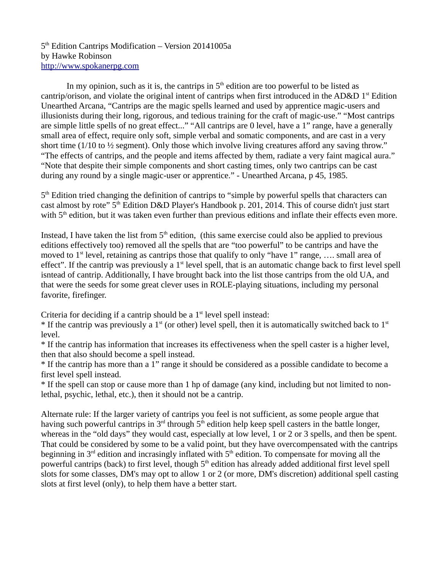#### 5<sup>th</sup> Edition Cantrips Modification – Version 20141005a by Hawke Robinson [http://www.spokanerpg.com](http://www.spokanerpg.com/)

In my opinion, such as it is, the cantrips in  $5<sup>th</sup>$  edition are too powerful to be listed as cantrip/orison, and violate the original intent of cantrips when first introduced in the AD&D  $1<sup>st</sup>$  Edition Unearthed Arcana, "Cantrips are the magic spells learned and used by apprentice magic-users and illusionists during their long, rigorous, and tedious training for the craft of magic-use." "Most cantrips are simple little spells of no great effect..." "All cantrips are 0 level, have a 1" range, have a generally small area of effect, require only soft, simple verbal and somatic components, and are cast in a very short time (1/10 to  $\frac{1}{2}$  segment). Only those which involve living creatures afford any saving throw." "The effects of cantrips, and the people and items affected by them, radiate a very faint magical aura." "Note that despite their simple components and short casting times, only two cantrips can be cast during any round by a single magic-user or apprentice." - Unearthed Arcana, p 45, 1985.

5<sup>th</sup> Edition tried changing the definition of cantrips to "simple by powerful spells that characters can cast almost by rote" 5<sup>th</sup> Edition D&D Player's Handbook p. 201, 2014. This of course didn't just start with 5<sup>th</sup> edition, but it was taken even further than previous editions and inflate their effects even more.

Instead, I have taken the list from  $5<sup>th</sup>$  edition, (this same exercise could also be applied to previous editions effectively too) removed all the spells that are "too powerful" to be cantrips and have the moved to  $1<sup>st</sup>$  level, retaining as cantrips those that qualify to only "have 1" range, .... small area of effect". If the cantrip was previously a  $1<sup>st</sup>$  level spell, that is an automatic change back to first level spell isntead of cantrip. Additionally, I have brought back into the list those cantrips from the old UA, and that were the seeds for some great clever uses in ROLE-playing situations, including my personal favorite, firefinger.

Criteria for deciding if a cantrip should be a  $1<sup>st</sup>$  level spell instead:

 $*$  If the cantrip was previously a 1<sup>st</sup> (or other) level spell, then it is automatically switched back to 1<sup>st</sup> level.

\* If the cantrip has information that increases its effectiveness when the spell caster is a higher level, then that also should become a spell instead.

\* If the cantrip has more than a 1" range it should be considered as a possible candidate to become a first level spell instead.

\* If the spell can stop or cause more than 1 hp of damage (any kind, including but not limited to nonlethal, psychic, lethal, etc.), then it should not be a cantrip.

Alternate rule: If the larger variety of cantrips you feel is not sufficient, as some people argue that having such powerful cantrips in  $3<sup>rd</sup>$  through  $5<sup>th</sup>$  edition help keep spell casters in the battle longer, whereas in the "old days" they would cast, especially at low level, 1 or 2 or 3 spells, and then be spent. That could be considered by some to be a valid point, but they have overcompensated with the cantrips beginning in  $3<sup>rd</sup>$  edition and incrasingly inflated with  $5<sup>th</sup>$  edition. To compensate for moving all the powerful cantrips (back) to first level, though 5<sup>th</sup> edition has already added additional first level spell slots for some classes, DM's may opt to allow 1 or 2 (or more, DM's discretion) additional spell casting slots at first level (only), to help them have a better start.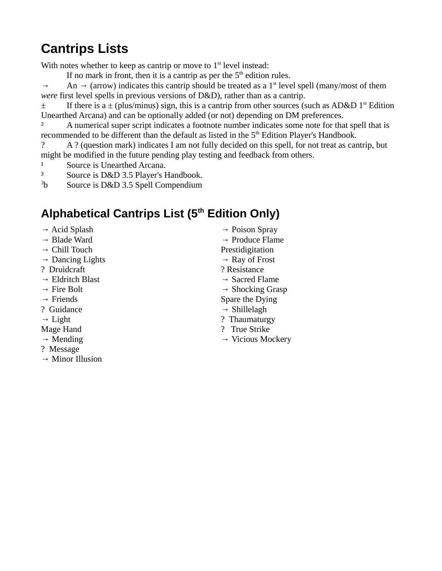# **Cantrips Lists**

With notes whether to keep as cantrip or move to  $1<sup>st</sup>$  level instead:

If no mark in front, then it is a cantrip as per the  $5<sup>th</sup>$  edition rules.

 $\rightarrow$  An  $\rightarrow$  (arrow) indicates this cantrip should be treated as a 1<sup>st</sup> level spell (many/most of them *were* first level spells in previous versions of D&D), rather than as a cantrip.

 $\pm$  If there is a  $\pm$  (plus/minus) sign, this is a cantrip from other sources (such as AD&D 1<sup>st</sup> Edition Unearthed Arcana) and can be optionally added (or not) depending on DM preferences.

<sup>2</sup> A numerical super script indicates a footnote number indicates some note for that spell that is recommended to be different than the default as listed in the  $5<sup>th</sup>$  Edition Player's Handbook.

? A ? (question mark) indicates I am not fully decided on this spell, for not treat as cantrip, but might be modified in the future pending play testing and feedback from others.

- <sup>1</sup> Source is Unearthed Arcana.
- ³ Source is D&D 3.5 Player's Handbook.

 $3<sub>b</sub>$ Source is D&D 3.5 Spell Compendium

## **Alphabetical Cantrips List (5th Edition Only)**

- $\rightarrow$  Acid Splash
- → Blade Ward
- $\rightarrow$  Chill Touch
- $\rightarrow$  Dancing Lights
- ? Druidcraft
- $\rightarrow$  Eldritch Blast
- $\rightarrow$  Fire Bolt
- $\rightarrow$  Friends
- ? Guidance
- $\rightarrow$  Light
- Mage Hand
- $\rightarrow$  Mending
- ? Message
- $\rightarrow$  Minor Illusion
- → Poison Spray
- $\rightarrow$  Produce Flame
- Prestidigitation
- $\rightarrow$  Ray of Frost
- ? Resistance
- $\rightarrow$  Sacred Flame
- $\rightarrow$  Shocking Grasp
- Spare the Dying
- $\rightarrow$  Shillelagh
- ? Thaumaturgy
- ? True Strike
- $\rightarrow$  Vicious Mockery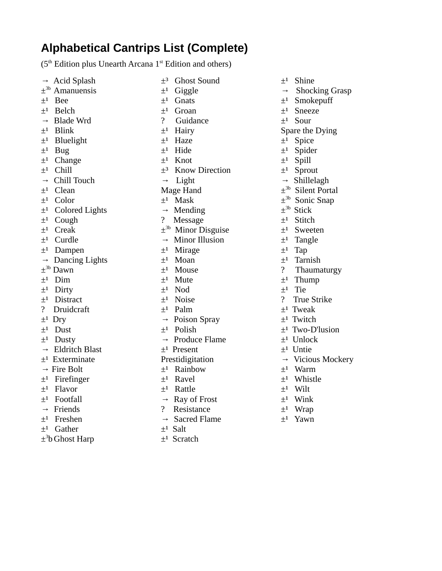### **Alphabetical Cantrips List (Complete)**

( $5<sup>th</sup>$  Edition plus Unearth Arcana  $1<sup>st</sup>$  Edition and others)

| $\rightarrow$       | Acid Splash                      |
|---------------------|----------------------------------|
| $+3b$               | Amanuensis                       |
| $\pm$ <sup>1</sup>  | <b>Bee</b>                       |
| $\pm$ <sup>1</sup>  | <b>Belch</b>                     |
| $\rightarrow$       | <b>Blade Wrd</b>                 |
| $\pm$ <sup>1</sup>  | Blink                            |
| $\pm$ <sup>1</sup>  | <b>Bluelight</b>                 |
| $\pm$ <sup>1</sup>  | <b>Bug</b>                       |
| $\pm$ <sup>1</sup>  | Change                           |
| $\pm$ <sup>1</sup>  | Chill                            |
| $\rightarrow$       | Chill Touch                      |
| $\pm$ <sup>1</sup>  | Clean                            |
| $+1$                | Color                            |
| $\pm$ <sup>1</sup>  | Colored Lights<br>Cough<br>Creak |
| $\pm$ <sup>1</sup>  |                                  |
| $\pm$ <sup>1</sup>  |                                  |
| $\pm$ <sup>1</sup>  | Curdle                           |
| $+1$                | Dampen                           |
| $\rightarrow$       | Dancing Lights                   |
| $\pm$ <sup>3b</sup> | Dawn                             |
| $\pm$ <sup>1</sup>  | Dim                              |
| $\pm$ <sup>1</sup>  | Dirty                            |
| $\pm$ <sup>1</sup>  | Distract                         |
| $\mathbf{S}$        | Druidcraft                       |
| $\pm$ <sup>1</sup>  | Dry                              |
| $\pm$ <sup>1</sup>  | Dust                             |
| $\pm$ <sup>1</sup>  | Dusty                            |
| $\rightarrow$       | <b>Eldritch Blast</b>            |
| $+1$                | Exterminate                      |
| $\rightarrow$       | Fire Bolt                        |
| $\pm$ <sup>1</sup>  | Firefinger                       |
| $\pm$ <sup>1</sup>  | Flavor                           |
| $\pm$ <sup>1</sup>  | Footfall                         |
| $\rightarrow$       | Friends                          |
| $\pm$ <sup>1</sup>  | Freshen                          |
| $\pm$ <sup>1</sup>  | Gather                           |
|                     |                                  |

± 3 b Ghost Harp

 $\pm$ <sup>3</sup> Ghost Sound  $\pm$ <sup>1</sup> Giggle  $\pm$ <sup>1</sup> Gnats  $\pm$ <sup>1</sup> Groan ? Guidance  $\pm$ <sup>1</sup> Hairy  $\pm$ <sup>1</sup> Haze  $\pm$ <sup>1</sup> Hide  $+1$  Knot ±³ Know Direction  $\rightarrow$  Light Mage Hand  $+1$  Mask  $\rightarrow$  Mending ? Message ± 3b Minor Disguise  $\rightarrow$  Minor Illusion  $\pm$ <sup>1</sup> Mirage  $\pm^1$  Moan  $\pm$ <sup>1</sup> Mouse  $\pm$ <sup>1</sup> Mute  $\pm^1$  Nod  $\pm$ <sup>1</sup> Noise  $\pm$ <sup>1</sup> Palm  $\rightarrow$  Poison Spray  $\pm$ <sup>1</sup> Polish  $\rightarrow$  Produce Flame  $\pm$ <sup>1</sup> Present Prestidigitation  $\pm$ <sup>1</sup> Rainbow  $\pm$ <sup>1</sup> Ravel  $\pm$ <sup>1</sup> Rattle  $\rightarrow$  Ray of Frost ? Resistance

- $\rightarrow$  Sacred Flame
- $\pm$ <sup>1</sup> Salt
- $\pm$ <sup>1</sup> Scratch

 $\pm$ <sup>1</sup> Shine  $\rightarrow$  Shocking Grasp  $\pm$ <sup>1</sup> Smokepuff  $\pm$ <sup>1</sup> Sneeze  $\pm$ <sup>1</sup> Sour Spare the Dying  $\pm$ <sup>1</sup> Spice  $\pm$ <sup>1</sup> Spider  $\pm$ <sup>1</sup> Spill  $\pm$ <sup>1</sup> Sprout  $\rightarrow$  Shillelagh ± 3b Silent Portal ± 3b Sonic Snap ± 3b Stick  $\pm$ <sup>1</sup> Stitch  $\pm$ <sup>1</sup> Sweeten  $\pm$ <sup>1</sup> Tangle  $\pm^1$  Tap  $\pm$ <sup>1</sup> Tarnish ? Thaumaturgy  $\pm$ <sup>1</sup> Thump  $\pm$ <sup>1</sup> Tie ? True Strike  $\pm$ <sup>1</sup> Tweak  $\pm$ <sup>1</sup> Twitch  $±<sup>1</sup>$  Two-D'lusion  $\pm$ <sup>1</sup> Unlock  $\pm$ <sup>1</sup> Untie → Vicious Mockery  $\pm$ <sup>1</sup> Warm  $\pm$ <sup>1</sup> Whistle

- 
- $\pm$ <sup>1</sup> Wilt
- $\pm$ <sup>1</sup> Wink
- $\pm$ <sup>1</sup> Wrap
	- $\pm$ <sup>1</sup> Yawn